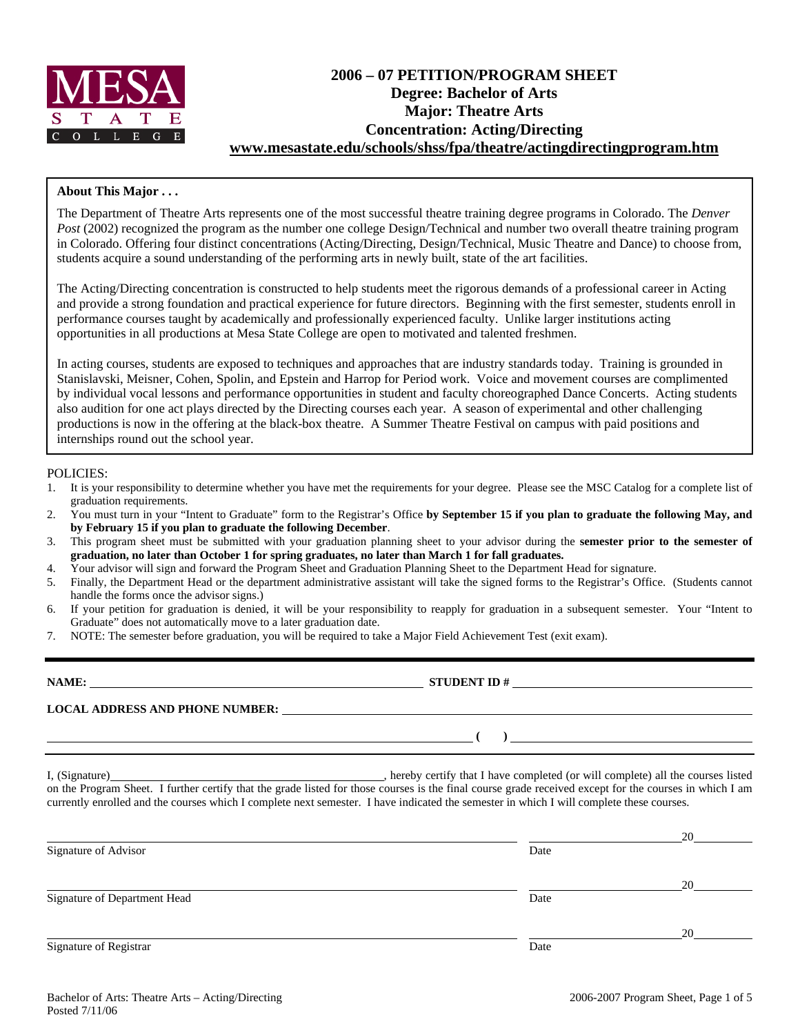

# **2006 – 07 PETITION/PROGRAM SHEET Degree: Bachelor of Arts Major: Theatre Arts Concentration: Acting/Directing www.mesastate.edu/schools/shss/fpa/theatre/actingdirectingprogram.htm**

### **About This Major . . .**

The Department of Theatre Arts represents one of the most successful theatre training degree programs in Colorado. The *Denver Post* (2002) recognized the program as the number one college Design/Technical and number two overall theatre training program in Colorado. Offering four distinct concentrations (Acting/Directing, Design/Technical, Music Theatre and Dance) to choose from, students acquire a sound understanding of the performing arts in newly built, state of the art facilities.

The Acting/Directing concentration is constructed to help students meet the rigorous demands of a professional career in Acting and provide a strong foundation and practical experience for future directors. Beginning with the first semester, students enroll in performance courses taught by academically and professionally experienced faculty. Unlike larger institutions acting opportunities in all productions at Mesa State College are open to motivated and talented freshmen.

In acting courses, students are exposed to techniques and approaches that are industry standards today. Training is grounded in Stanislavski, Meisner, Cohen, Spolin, and Epstein and Harrop for Period work. Voice and movement courses are complimented by individual vocal lessons and performance opportunities in student and faculty choreographed Dance Concerts. Acting students also audition for one act plays directed by the Directing courses each year. A season of experimental and other challenging productions is now in the offering at the black-box theatre. A Summer Theatre Festival on campus with paid positions and internships round out the school year.

#### POLICIES:

- 1. It is your responsibility to determine whether you have met the requirements for your degree. Please see the MSC Catalog for a complete list of graduation requirements.
- 2. You must turn in your "Intent to Graduate" form to the Registrar's Office **by September 15 if you plan to graduate the following May, and by February 15 if you plan to graduate the following December**.
- 3. This program sheet must be submitted with your graduation planning sheet to your advisor during the **semester prior to the semester of graduation, no later than October 1 for spring graduates, no later than March 1 for fall graduates.**
- 4. Your advisor will sign and forward the Program Sheet and Graduation Planning Sheet to the Department Head for signature.
- 5. Finally, the Department Head or the department administrative assistant will take the signed forms to the Registrar's Office. (Students cannot handle the forms once the advisor signs.)
- 6. If your petition for graduation is denied, it will be your responsibility to reapply for graduation in a subsequent semester. Your "Intent to Graduate" does not automatically move to a later graduation date.
- 7. NOTE: The semester before graduation, you will be required to take a Major Field Achievement Test (exit exam).

| NAME:                                  | <b>STUDENT ID#</b> |
|----------------------------------------|--------------------|
| <b>LOCAL ADDRESS AND PHONE NUMBER:</b> |                    |
|                                        |                    |

I, (Signature) , hereby certify that I have completed (or will complete) all the courses listed on the Program Sheet. I further certify that the grade listed for those courses is the final course grade received except for the courses in which I am currently enrolled and the courses which I complete next semester. I have indicated the semester in which I will complete these courses.

|                              |      | 20 |
|------------------------------|------|----|
| Signature of Advisor         | Date |    |
|                              |      |    |
|                              |      | 20 |
| Signature of Department Head | Date |    |
|                              |      |    |
|                              |      | 20 |
| Signature of Registrar       | Date |    |
|                              |      |    |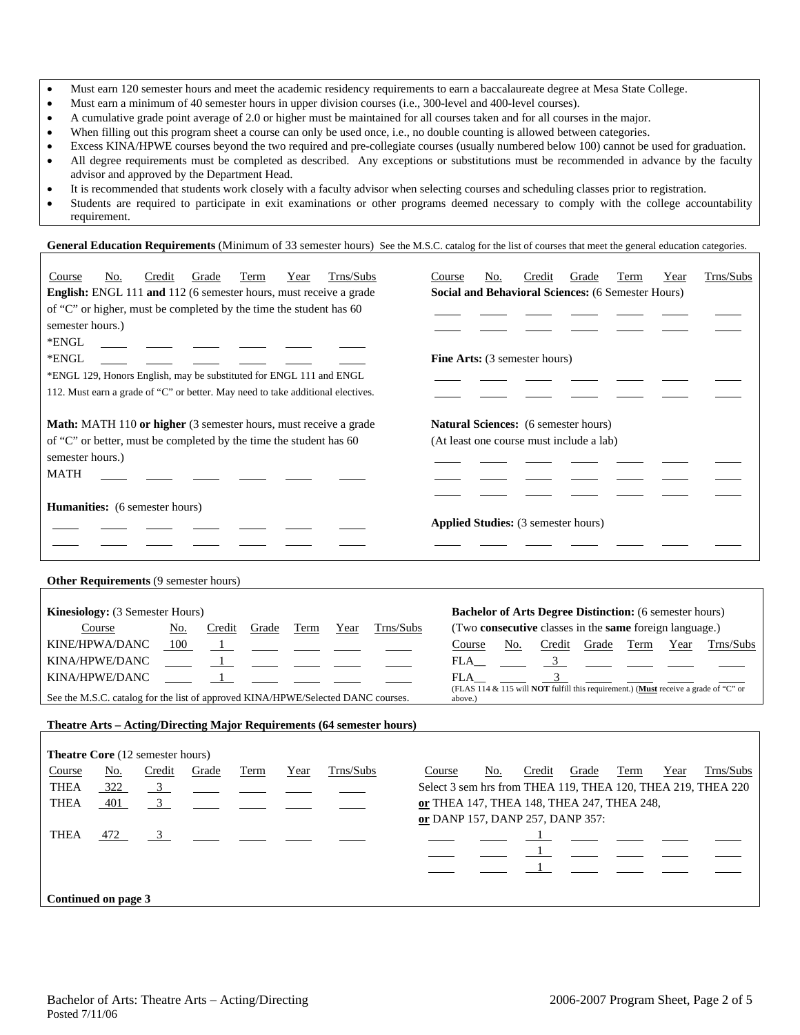- Must earn 120 semester hours and meet the academic residency requirements to earn a baccalaureate degree at Mesa State College.
- Must earn a minimum of 40 semester hours in upper division courses (i.e., 300-level and 400-level courses).
- A cumulative grade point average of 2.0 or higher must be maintained for all courses taken and for all courses in the major.
- When filling out this program sheet a course can only be used once, i.e., no double counting is allowed between categories.
- Excess KINA/HPWE courses beyond the two required and pre-collegiate courses (usually numbered below 100) cannot be used for graduation. • All degree requirements must be completed as described. Any exceptions or substitutions must be recommended in advance by the faculty advisor and approved by the Department Head.
- It is recommended that students work closely with a faculty advisor when selecting courses and scheduling classes prior to registration.
- Students are required to participate in exit examinations or other programs deemed necessary to comply with the college accountability requirement.

General Education Requirements (Minimum of 33 semester hours) See the M.S.C. catalog for the list of courses that meet the general education categories.

| Trns/Subs<br>Credit<br>Course<br>No.<br>Grade<br>Term<br>Year<br>English: ENGL 111 and 112 (6 semester hours, must receive a grade<br>of "C" or higher, must be completed by the time the student has 60<br>semester hours.)<br>*ENGL<br>*ENGL<br>*ENGL 129, Honors English, may be substituted for ENGL 111 and ENGL<br>112. Must earn a grade of "C" or better. May need to take additional electives. | Trns/Subs<br>Credit<br>Course<br>No.<br>Grade<br>Term<br>Year<br><b>Social and Behavioral Sciences: (6 Semester Hours)</b><br><b>Fine Arts:</b> (3 semester hours)                                                                                                                                                                                  |
|----------------------------------------------------------------------------------------------------------------------------------------------------------------------------------------------------------------------------------------------------------------------------------------------------------------------------------------------------------------------------------------------------------|-----------------------------------------------------------------------------------------------------------------------------------------------------------------------------------------------------------------------------------------------------------------------------------------------------------------------------------------------------|
| Math: MATH 110 or higher (3 semester hours, must receive a grade<br>of "C" or better, must be completed by the time the student has 60<br>semester hours.)<br><b>MATH</b>                                                                                                                                                                                                                                | Natural Sciences: (6 semester hours)<br>(At least one course must include a lab)                                                                                                                                                                                                                                                                    |
| <b>Humanities:</b> (6 semester hours)                                                                                                                                                                                                                                                                                                                                                                    | <b>Applied Studies:</b> (3 semester hours)                                                                                                                                                                                                                                                                                                          |
| Other Requirements (9 semester hours)                                                                                                                                                                                                                                                                                                                                                                    |                                                                                                                                                                                                                                                                                                                                                     |
| Kinesiology: (3 Semester Hours)<br>Trns/Subs<br>Course<br>No.<br>Credit<br>Grade<br>Term<br>Year<br>KINE/HPWA/DANC<br>100<br>$\mathbf{1}$<br>KINA/HPWE/DANC<br>KINA/HPWE/DANC<br>See the M.S.C. catalog for the list of approved KINA/HPWE/Selected DANC courses.                                                                                                                                        | <b>Bachelor of Arts Degree Distinction:</b> (6 semester hours)<br>(Two consecutive classes in the same foreign language.)<br>Course<br>No.<br>Credit<br>Grade<br>Term<br>Year<br>Trns/Subs<br>FLA<br>$\mathbf{3}$<br>3<br>FLA<br>(FLAS 114 & $\overline{115}$ will <b>NOT</b> fulfill this requirement.) (Must receive a grade of "C" or<br>above.) |
| Theatre Arts - Acting/Directing Major Requirements (64 semester hours)                                                                                                                                                                                                                                                                                                                                   |                                                                                                                                                                                                                                                                                                                                                     |
| <b>Theatre Core</b> (12 semester hours)                                                                                                                                                                                                                                                                                                                                                                  |                                                                                                                                                                                                                                                                                                                                                     |
| Trns/Subs<br>No.<br>Credit<br>Grade<br>Course<br>Term<br>Year                                                                                                                                                                                                                                                                                                                                            | Credit<br>Trns/Subs<br>Course<br>No.<br>Grade<br>Term<br>Year                                                                                                                                                                                                                                                                                       |
| <b>THEA</b><br>322<br>$\overline{3}$                                                                                                                                                                                                                                                                                                                                                                     | Select 3 sem hrs from THEA 119, THEA 120, THEA 219, THEA 220                                                                                                                                                                                                                                                                                        |
| 3 <sup>7</sup><br><b>THEA</b><br>401                                                                                                                                                                                                                                                                                                                                                                     | or THEA 147, THEA 148, THEA 247, THEA 248,                                                                                                                                                                                                                                                                                                          |
| <b>THEA</b><br>472<br>$\overline{\mathbf{3}}$                                                                                                                                                                                                                                                                                                                                                            | or DANP 157, DANP 257, DANP 357:<br>$\mathbf{1}$<br>$\mathbf{1}$                                                                                                                                                                                                                                                                                    |
|                                                                                                                                                                                                                                                                                                                                                                                                          |                                                                                                                                                                                                                                                                                                                                                     |
| Continued on page 3                                                                                                                                                                                                                                                                                                                                                                                      |                                                                                                                                                                                                                                                                                                                                                     |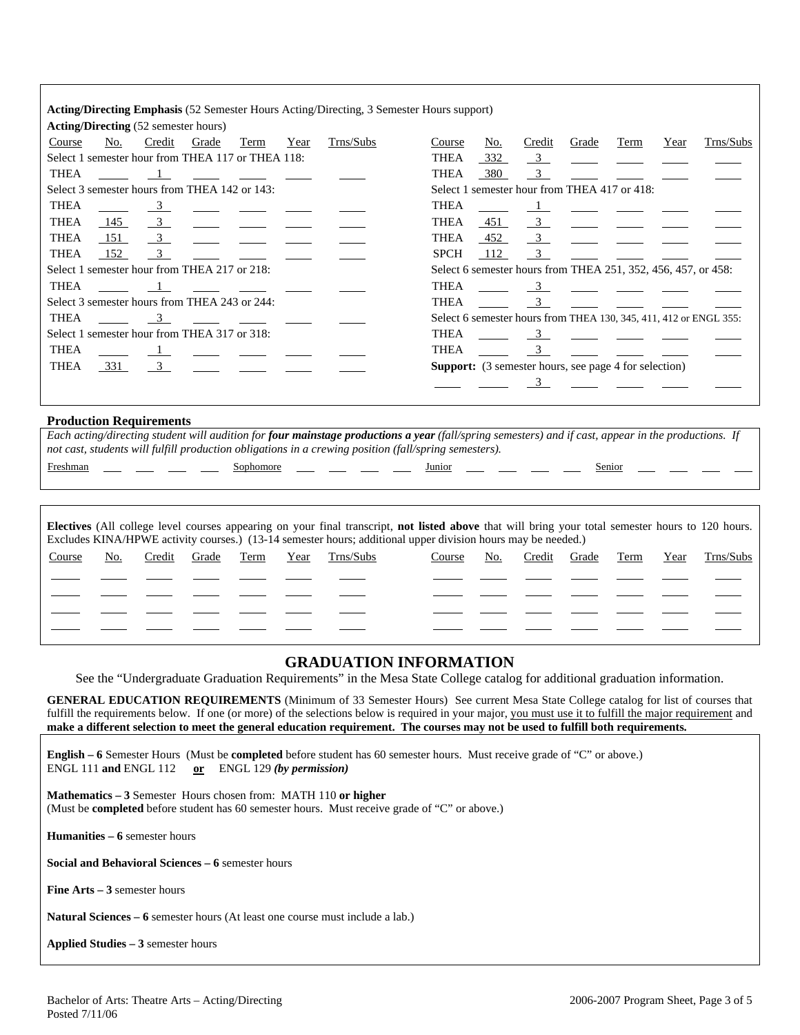|             |     |                                                   |       |      |      | <b>Acting/Directing Emphasis</b> (52 Semester Hours Acting/Directing, 3 Semester Hours support) |             |     |                         |       |                                                               |      |                                                                   |
|-------------|-----|---------------------------------------------------|-------|------|------|-------------------------------------------------------------------------------------------------|-------------|-----|-------------------------|-------|---------------------------------------------------------------|------|-------------------------------------------------------------------|
|             |     | <b>Acting/Directing</b> (52 semester hours)       |       |      |      |                                                                                                 |             |     |                         |       |                                                               |      |                                                                   |
| Course      | No. | Credit                                            | Grade | Term | Year | Trns/Subs                                                                                       | Course      | No. | Credit                  | Grade | Term                                                          | Year | Trns/Subs                                                         |
|             |     | Select 1 semester hour from THEA 117 or THEA 118: |       |      |      |                                                                                                 | <b>THEA</b> | 332 | $\overline{\mathbf{3}}$ |       |                                                               |      |                                                                   |
| <b>THEA</b> |     |                                                   |       |      |      |                                                                                                 | <b>THEA</b> | 380 | $\overline{3}$          |       |                                                               |      |                                                                   |
|             |     | Select 3 semester hours from THEA 142 or 143:     |       |      |      |                                                                                                 |             |     |                         |       | Select 1 semester hour from THEA 417 or 418:                  |      |                                                                   |
| <b>THEA</b> |     | $\overline{\mathbf{3}}$                           |       |      |      |                                                                                                 | <b>THEA</b> |     |                         |       |                                                               |      |                                                                   |
| <b>THEA</b> | 145 | $\overline{\mathbf{3}}$                           |       |      |      |                                                                                                 | <b>THEA</b> | 451 | $\overline{\mathbf{3}}$ |       |                                                               |      |                                                                   |
| <b>THEA</b> | 151 | $\overline{\mathbf{3}}$                           |       |      |      |                                                                                                 | THEA        | 452 | $\frac{3}{2}$           |       |                                                               |      |                                                                   |
| <b>THEA</b> | 152 | $\overline{\mathbf{3}}$                           |       |      |      |                                                                                                 | <b>SPCH</b> | 112 | $\mathcal{E}$           |       |                                                               |      |                                                                   |
|             |     | Select 1 semester hour from THEA 217 or 218:      |       |      |      |                                                                                                 |             |     |                         |       | Select 6 semester hours from THEA 251, 352, 456, 457, or 458: |      |                                                                   |
| <b>THEA</b> |     |                                                   |       |      |      |                                                                                                 | THEA        |     | $\overline{3}$          |       |                                                               |      |                                                                   |
|             |     | Select 3 semester hours from THEA 243 or 244:     |       |      |      |                                                                                                 | THEA        |     | $\overline{3}$          |       |                                                               |      |                                                                   |
| THEA        |     | $\overline{3}$                                    |       |      |      |                                                                                                 |             |     |                         |       |                                                               |      | Select 6 semester hours from THEA 130, 345, 411, 412 or ENGL 355: |
|             |     | Select 1 semester hour from THEA 317 or 318:      |       |      |      |                                                                                                 | <b>THEA</b> |     | 3                       |       |                                                               |      |                                                                   |
| <b>THEA</b> |     |                                                   |       |      |      |                                                                                                 | <b>THEA</b> |     |                         |       |                                                               |      |                                                                   |
| <b>THEA</b> | 331 | $\overline{\mathbf{3}}$                           |       |      |      |                                                                                                 |             |     |                         |       | <b>Support:</b> (3 semester hours, see page 4 for selection)  |      |                                                                   |
|             |     |                                                   |       |      |      |                                                                                                 |             |     |                         |       |                                                               |      |                                                                   |
|             |     |                                                   |       |      |      |                                                                                                 |             |     |                         |       |                                                               |      |                                                                   |

### **Production Requirements**

Each acting/directing student will audition for *four mainstage productions a year* (fall/spring semesters) and if cast, appear in the productions. If *not cast, students will fulfill production obligations in a crewing position (fall/spring semesters).* 

| Freshman |  |  |
|----------|--|--|

Freshman \_\_\_ \_\_\_ \_\_\_ Sophomore \_\_\_ \_\_ \_\_ \_\_ Junior \_\_\_ \_\_ \_\_ \_\_ Senior

| <b>Electives</b> (All college level courses appearing on your final transcript, not listed above that will bring your total semester hours to 120 hours.<br>Excludes KINA/HPWE activity courses.) (13-14 semester hours; additional upper division hours may be needed.) |     |        |       |      |      |           |        |     |        |       |      |      |           |
|--------------------------------------------------------------------------------------------------------------------------------------------------------------------------------------------------------------------------------------------------------------------------|-----|--------|-------|------|------|-----------|--------|-----|--------|-------|------|------|-----------|
| Course                                                                                                                                                                                                                                                                   | No. | Credit | Grade | Term | Year | Trns/Subs | Course | No. | Credit | Grade | Term | Year | Trns/Subs |
|                                                                                                                                                                                                                                                                          |     |        |       |      |      |           |        |     |        |       |      |      |           |
|                                                                                                                                                                                                                                                                          |     |        |       |      |      |           |        |     |        |       |      |      |           |
|                                                                                                                                                                                                                                                                          |     |        |       |      |      |           |        |     |        |       |      |      |           |
|                                                                                                                                                                                                                                                                          |     |        |       |      |      |           |        |     |        |       |      |      |           |

### **GRADUATION INFORMATION**

See the "Undergraduate Graduation Requirements" in the Mesa State College catalog for additional graduation information.

**GENERAL EDUCATION REQUIREMENTS** (Minimum of 33 Semester Hours) See current Mesa State College catalog for list of courses that fulfill the requirements below. If one (or more) of the selections below is required in your major, you must use it to fulfill the major requirement and **make a different selection to meet the general education requirement. The courses may not be used to fulfill both requirements.**

**English – 6** Semester Hours (Must be **completed** before student has 60 semester hours. Must receive grade of "C" or above.) ENGL 111 **and** ENGL 112 **or** ENGL 129 *(by permission)*

**Mathematics – 3** Semester Hours chosen from: MATH 110 **or higher** (Must be **completed** before student has 60 semester hours. Must receive grade of "C" or above.)

**Humanities – 6** semester hours

**Social and Behavioral Sciences – 6** semester hours

**Fine Arts – 3** semester hours

**Natural Sciences – 6** semester hours (At least one course must include a lab.)

**Applied Studies – 3** semester hours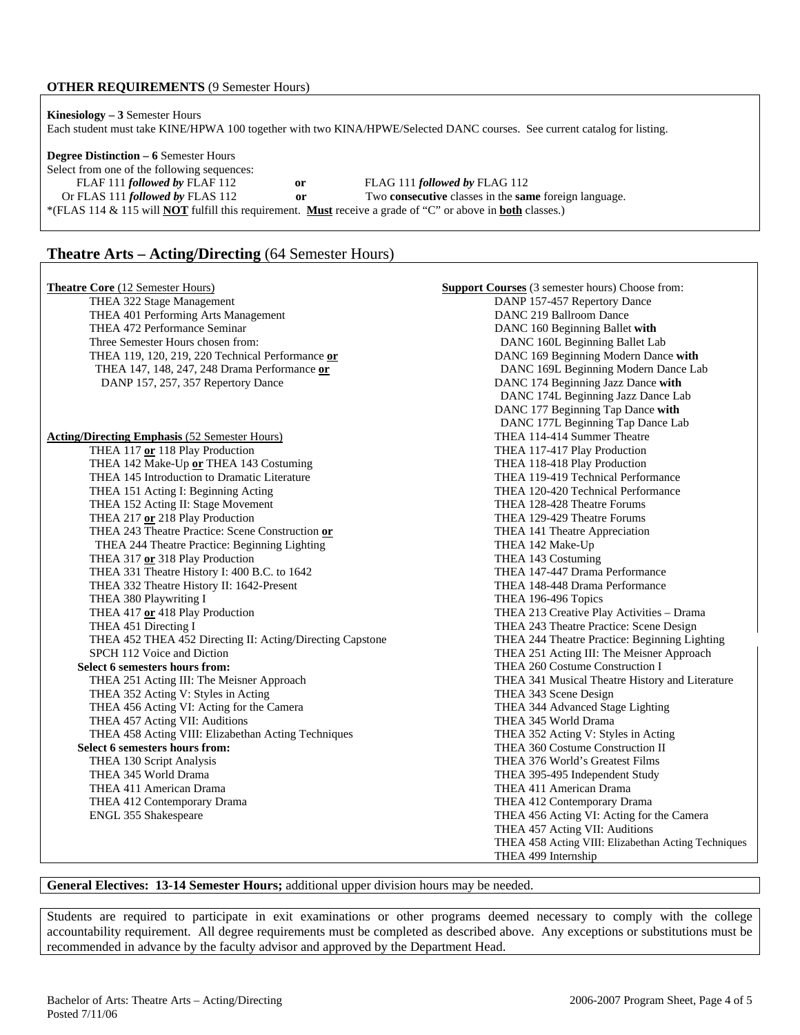### **OTHER REQUIREMENTS** (9 Semester Hours)

**Kinesiology – 3** Semester Hours Each student must take KINE/HPWA 100 together with two KINA/HPWE/Selected DANC courses. See current catalog for listing.

**Degree Distinction – 6** Semester Hours Select from one of the following sequences: FLAF 111 *followed by* FLAF 112 **or** FLAG 111 *followed by* FLAG 112 Or FLAS 111 *followed by* FLAS 112 **or** Two **consecutive** classes in the **same** foreign language. \*(FLAS 114 & 115 will **NOT** fulfill this requirement. **Must** receive a grade of "C" or above in **both** classes.)

## **Theatre Arts – Acting/Directing** (64 Semester Hours)

| <b>Theatre Core (12 Semester Hours)</b>                   | <b>Support Courses</b> (3 semester hours) Choose from: |
|-----------------------------------------------------------|--------------------------------------------------------|
| THEA 322 Stage Management                                 | DANP 157-457 Repertory Dance                           |
| THEA 401 Performing Arts Management                       | DANC 219 Ballroom Dance                                |
| THEA 472 Performance Seminar                              | DANC 160 Beginning Ballet with                         |
| Three Semester Hours chosen from:                         | DANC 160L Beginning Ballet Lab                         |
| THEA 119, 120, 219, 220 Technical Performance or          | DANC 169 Beginning Modern Dance with                   |
| THEA 147, 148, 247, 248 Drama Performance or              | DANC 169L Beginning Modern Dance Lab                   |
| DANP 157, 257, 357 Repertory Dance                        | DANC 174 Beginning Jazz Dance with                     |
|                                                           | DANC 174L Beginning Jazz Dance Lab                     |
|                                                           | DANC 177 Beginning Tap Dance with                      |
|                                                           | DANC 177L Beginning Tap Dance Lab                      |
| <b>Acting/Directing Emphasis (52 Semester Hours)</b>      | THEA 114-414 Summer Theatre                            |
| THEA 117 or 118 Play Production                           | THEA 117-417 Play Production                           |
| THEA 142 Make-Up or THEA 143 Costuming                    | THEA 118-418 Play Production                           |
| THEA 145 Introduction to Dramatic Literature              | THEA 119-419 Technical Performance                     |
| THEA 151 Acting I: Beginning Acting                       | THEA 120-420 Technical Performance                     |
| THEA 152 Acting II: Stage Movement                        | THEA 128-428 Theatre Forums                            |
| THEA 217 or 218 Play Production                           | THEA 129-429 Theatre Forums                            |
| THEA 243 Theatre Practice: Scene Construction or          | THEA 141 Theatre Appreciation                          |
| THEA 244 Theatre Practice: Beginning Lighting             | THEA 142 Make-Up                                       |
| THEA 317 or 318 Play Production                           | THEA 143 Costuming                                     |
| THEA 331 Theatre History I: 400 B.C. to 1642              | THEA 147-447 Drama Performance                         |
| THEA 332 Theatre History II: 1642-Present                 | THEA 148-448 Drama Performance                         |
| THEA 380 Playwriting I                                    | THEA 196-496 Topics                                    |
| THEA 417 or 418 Play Production                           | THEA 213 Creative Play Activities - Drama              |
| THEA 451 Directing I                                      | THEA 243 Theatre Practice: Scene Design                |
| THEA 452 THEA 452 Directing II: Acting/Directing Capstone | THEA 244 Theatre Practice: Beginning Lighting          |
| SPCH 112 Voice and Diction                                | THEA 251 Acting III: The Meisner Approach              |
| Select 6 semesters hours from:                            | THEA 260 Costume Construction I                        |
| THEA 251 Acting III: The Meisner Approach                 | THEA 341 Musical Theatre History and Literature        |
| THEA 352 Acting V: Styles in Acting                       | THEA 343 Scene Design                                  |
| THEA 456 Acting VI: Acting for the Camera                 | THEA 344 Advanced Stage Lighting                       |
| THEA 457 Acting VII: Auditions                            | THEA 345 World Drama                                   |
| THEA 458 Acting VIII: Elizabethan Acting Techniques       | THEA 352 Acting V: Styles in Acting                    |
| Select 6 semesters hours from:                            | THEA 360 Costume Construction II                       |
| THEA 130 Script Analysis                                  | THEA 376 World's Greatest Films                        |
| THEA 345 World Drama                                      | THEA 395-495 Independent Study                         |
| THEA 411 American Drama                                   | THEA 411 American Drama                                |
| THEA 412 Contemporary Drama                               | THEA 412 Contemporary Drama                            |
| ENGL 355 Shakespeare                                      | THEA 456 Acting VI: Acting for the Camera              |
|                                                           | THEA 457 Acting VII: Auditions                         |
|                                                           | THEA 458 Acting VIII: Elizabethan Acting Techniques    |
|                                                           | THEA 499 Internship                                    |

#### **General Electives: 13-14 Semester Hours;** additional upper division hours may be needed.

Students are required to participate in exit examinations or other programs deemed necessary to comply with the college accountability requirement. All degree requirements must be completed as described above. Any exceptions or substitutions must be recommended in advance by the faculty advisor and approved by the Department Head.